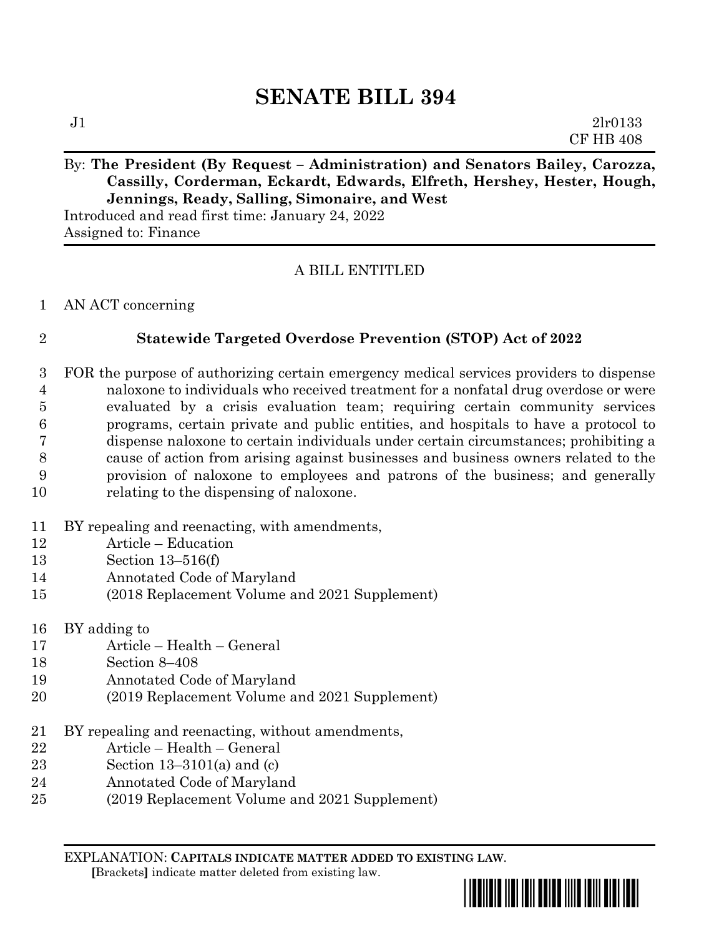# **SENATE BILL 394**

## By: The President (By Request – Administration) and Senators Bailey, Carozza, **Cassilly, Corderman, Eckardt, Edwards, Elfreth, Hershey, Hester, Hough, Jennings, Ready, Salling, Simonaire, and West**

Introduced and read first time: January 24, 2022 Assigned to: Finance

## A BILL ENTITLED

#### AN ACT concerning

### **Statewide Targeted Overdose Prevention (STOP) Act of 2022**

- FOR the purpose of authorizing certain emergency medical services providers to dispense naloxone to individuals who received treatment for a nonfatal drug overdose or were evaluated by a crisis evaluation team; requiring certain community services programs, certain private and public entities, and hospitals to have a protocol to dispense naloxone to certain individuals under certain circumstances; prohibiting a cause of action from arising against businesses and business owners related to the provision of naloxone to employees and patrons of the business; and generally relating to the dispensing of naloxone.
- BY repealing and reenacting, with amendments,
- Article Education
- Section 13–516(f)
- Annotated Code of Maryland
- (2018 Replacement Volume and 2021 Supplement)
- BY adding to
- Article Health General
- Section 8–408
- Annotated Code of Maryland
- (2019 Replacement Volume and 2021 Supplement)
- BY repealing and reenacting, without amendments,
- Article Health General
- Section 13–3101(a) and (c)
- Annotated Code of Maryland
- (2019 Replacement Volume and 2021 Supplement)

EXPLANATION: **CAPITALS INDICATE MATTER ADDED TO EXISTING LAW**.  **[**Brackets**]** indicate matter deleted from existing law.

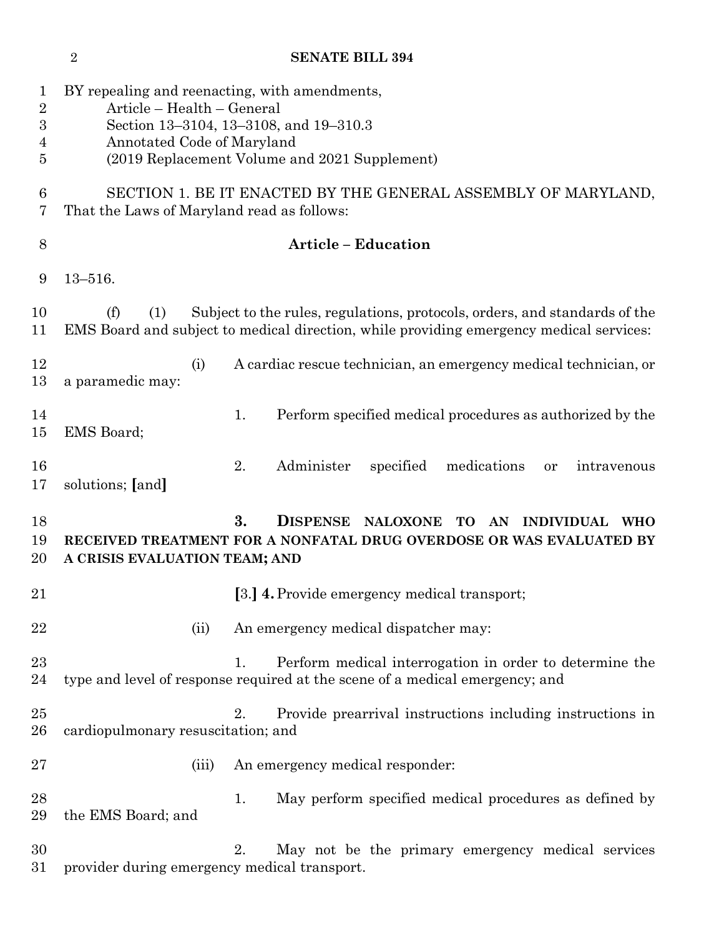|                                              |                                                                                                                                                                                                        | SENAIE BILL 594                                                                                                                               |
|----------------------------------------------|--------------------------------------------------------------------------------------------------------------------------------------------------------------------------------------------------------|-----------------------------------------------------------------------------------------------------------------------------------------------|
| $\mathbf 1$<br>$\overline{2}$<br>3<br>4<br>5 | BY repealing and reenacting, with amendments,<br>Article - Health - General<br>Section 13-3104, 13-3108, and 19-310.3<br>Annotated Code of Maryland<br>(2019 Replacement Volume and 2021 Supplement)   |                                                                                                                                               |
| 6<br>7                                       | SECTION 1. BE IT ENACTED BY THE GENERAL ASSEMBLY OF MARYLAND,<br>That the Laws of Maryland read as follows:                                                                                            |                                                                                                                                               |
| 8                                            |                                                                                                                                                                                                        | <b>Article - Education</b>                                                                                                                    |
| 9                                            | $13 - 516.$                                                                                                                                                                                            |                                                                                                                                               |
| 10<br>11                                     | Subject to the rules, regulations, protocols, orders, and standards of the<br>(f)<br>(1)<br>EMS Board and subject to medical direction, while providing emergency medical services:                    |                                                                                                                                               |
| 12<br>13                                     | (i)<br>a paramedic may:                                                                                                                                                                                | A cardiac rescue technician, an emergency medical technician, or                                                                              |
| 14<br>$15\,$                                 | EMS Board;                                                                                                                                                                                             | 1.<br>Perform specified medical procedures as authorized by the                                                                               |
| 16<br>17                                     | solutions; [and]                                                                                                                                                                                       | 2.<br>Administer<br>specified<br>medications<br>intravenous<br>or                                                                             |
| 18<br>19<br>20                               | 3.<br><b>DISPENSE</b><br><b>NALOXONE</b><br><b>TO</b><br><b>INDIVIDUAL</b><br>AN<br><b>WHO</b><br>RECEIVED TREATMENT FOR A NONFATAL DRUG OVERDOSE OR WAS EVALUATED BY<br>A CRISIS EVALUATION TEAM; AND |                                                                                                                                               |
| 21                                           |                                                                                                                                                                                                        | [3.] 4. Provide emergency medical transport;                                                                                                  |
| 22                                           | (ii)                                                                                                                                                                                                   | An emergency medical dispatcher may:                                                                                                          |
| 23<br>24                                     |                                                                                                                                                                                                        | Perform medical interrogation in order to determine the<br>1.<br>type and level of response required at the scene of a medical emergency; and |
| 25<br>26                                     | cardiopulmonary resuscitation; and                                                                                                                                                                     | Provide prearrival instructions including instructions in<br>2.                                                                               |
| $27\,$                                       | (iii)                                                                                                                                                                                                  | An emergency medical responder:                                                                                                               |
| 28<br>29                                     | the EMS Board; and                                                                                                                                                                                     | May perform specified medical procedures as defined by<br>1.                                                                                  |
| 30<br>$31\,$                                 | provider during emergency medical transport.                                                                                                                                                           | 2.<br>May not be the primary emergency medical services                                                                                       |

# <sup>2</sup> SENATE BILL 304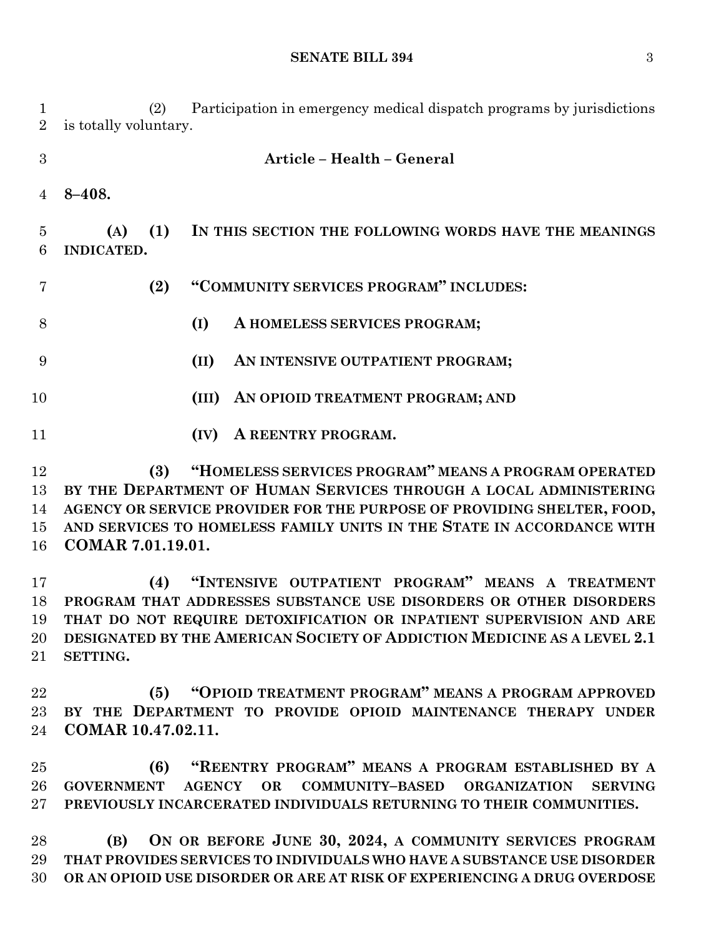**SENATE BILL 394** 3

 (2) Participation in emergency medical dispatch programs by jurisdictions is totally voluntary.

 **Article – Health – General 8–408. (A) (1) IN THIS SECTION THE FOLLOWING WORDS HAVE THE MEANINGS INDICATED. (2) "COMMUNITY SERVICES PROGRAM" INCLUDES: (I) A HOMELESS SERVICES PROGRAM; (II) AN INTENSIVE OUTPATIENT PROGRAM; (III) AN OPIOID TREATMENT PROGRAM; AND (IV) A REENTRY PROGRAM.**

 **(3) "HOMELESS SERVICES PROGRAM" MEANS A PROGRAM OPERATED BY THE DEPARTMENT OF HUMAN SERVICES THROUGH A LOCAL ADMINISTERING AGENCY OR SERVICE PROVIDER FOR THE PURPOSE OF PROVIDING SHELTER, FOOD, AND SERVICES TO HOMELESS FAMILY UNITS IN THE STATE IN ACCORDANCE WITH COMAR 7.01.19.01.**

 **(4) "INTENSIVE OUTPATIENT PROGRAM" MEANS A TREATMENT PROGRAM THAT ADDRESSES SUBSTANCE USE DISORDERS OR OTHER DISORDERS THAT DO NOT REQUIRE DETOXIFICATION OR INPATIENT SUPERVISION AND ARE DESIGNATED BY THE AMERICAN SOCIETY OF ADDICTION MEDICINE AS A LEVEL 2.1 SETTING.**

 **(5) "OPIOID TREATMENT PROGRAM" MEANS A PROGRAM APPROVED BY THE DEPARTMENT TO PROVIDE OPIOID MAINTENANCE THERAPY UNDER COMAR 10.47.02.11.**

 **(6) "REENTRY PROGRAM" MEANS A PROGRAM ESTABLISHED BY A GOVERNMENT AGENCY OR COMMUNITY–BASED ORGANIZATION SERVING PREVIOUSLY INCARCERATED INDIVIDUALS RETURNING TO THEIR COMMUNITIES.**

 **(B) ON OR BEFORE JUNE 30, 2024, A COMMUNITY SERVICES PROGRAM THAT PROVIDES SERVICES TO INDIVIDUALS WHO HAVE A SUBSTANCE USE DISORDER OR AN OPIOID USE DISORDER OR ARE AT RISK OF EXPERIENCING A DRUG OVERDOSE**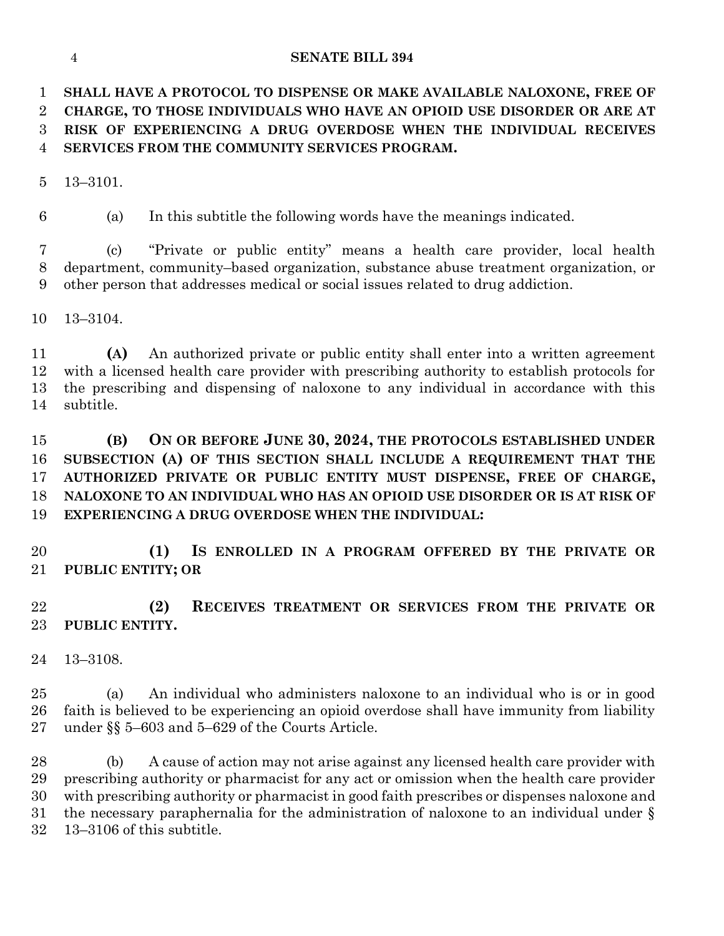#### **SENATE BILL 394**

 **SHALL HAVE A PROTOCOL TO DISPENSE OR MAKE AVAILABLE NALOXONE, FREE OF CHARGE, TO THOSE INDIVIDUALS WHO HAVE AN OPIOID USE DISORDER OR ARE AT RISK OF EXPERIENCING A DRUG OVERDOSE WHEN THE INDIVIDUAL RECEIVES SERVICES FROM THE COMMUNITY SERVICES PROGRAM.**

13–3101.

(a) In this subtitle the following words have the meanings indicated.

 (c) "Private or public entity" means a health care provider, local health department, community–based organization, substance abuse treatment organization, or other person that addresses medical or social issues related to drug addiction.

13–3104.

 **(A)** An authorized private or public entity shall enter into a written agreement with a licensed health care provider with prescribing authority to establish protocols for the prescribing and dispensing of naloxone to any individual in accordance with this subtitle.

 **(B) ON OR BEFORE JUNE 30, 2024, THE PROTOCOLS ESTABLISHED UNDER SUBSECTION (A) OF THIS SECTION SHALL INCLUDE A REQUIREMENT THAT THE AUTHORIZED PRIVATE OR PUBLIC ENTITY MUST DISPENSE, FREE OF CHARGE, NALOXONE TO AN INDIVIDUAL WHO HAS AN OPIOID USE DISORDER OR IS AT RISK OF EXPERIENCING A DRUG OVERDOSE WHEN THE INDIVIDUAL:**

 **(1) IS ENROLLED IN A PROGRAM OFFERED BY THE PRIVATE OR PUBLIC ENTITY; OR**

 **(2) RECEIVES TREATMENT OR SERVICES FROM THE PRIVATE OR PUBLIC ENTITY.**

13–3108.

 (a) An individual who administers naloxone to an individual who is or in good faith is believed to be experiencing an opioid overdose shall have immunity from liability under §§ 5–603 and 5–629 of the Courts Article.

 (b) A cause of action may not arise against any licensed health care provider with prescribing authority or pharmacist for any act or omission when the health care provider with prescribing authority or pharmacist in good faith prescribes or dispenses naloxone and the necessary paraphernalia for the administration of naloxone to an individual under § 13–3106 of this subtitle.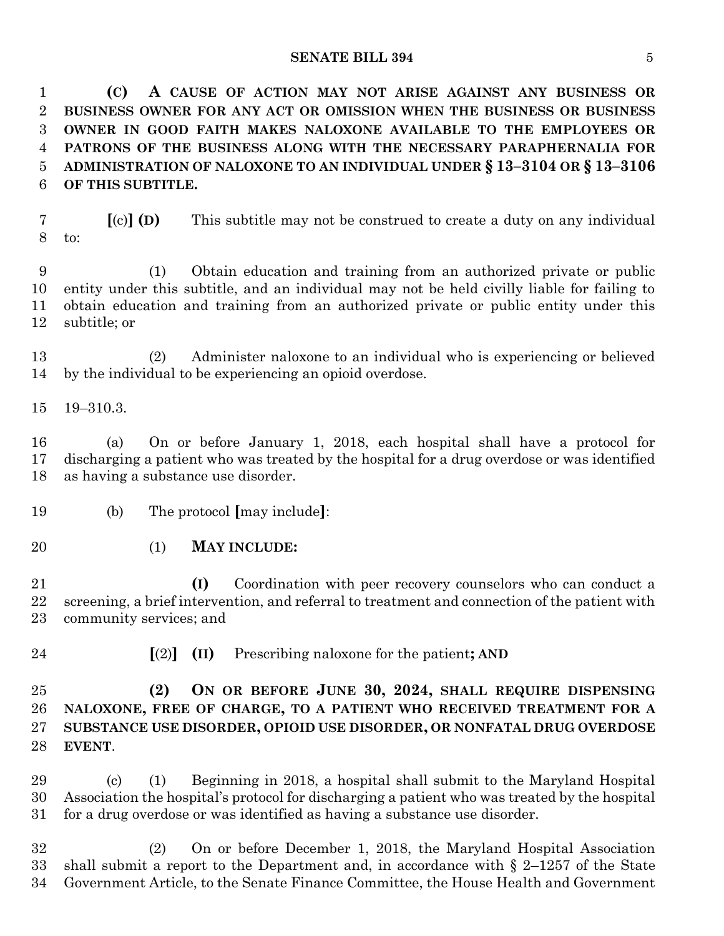#### **SENATE BILL 394** 5

 **(C) A CAUSE OF ACTION MAY NOT ARISE AGAINST ANY BUSINESS OR BUSINESS OWNER FOR ANY ACT OR OMISSION WHEN THE BUSINESS OR BUSINESS OWNER IN GOOD FAITH MAKES NALOXONE AVAILABLE TO THE EMPLOYEES OR PATRONS OF THE BUSINESS ALONG WITH THE NECESSARY PARAPHERNALIA FOR ADMINISTRATION OF NALOXONE TO AN INDIVIDUAL UNDER § 13–3104 OR § 13–3106 OF THIS SUBTITLE.**

 **[**(c)**] (D)** This subtitle may not be construed to create a duty on any individual to:

 (1) Obtain education and training from an authorized private or public entity under this subtitle, and an individual may not be held civilly liable for failing to obtain education and training from an authorized private or public entity under this subtitle; or

 (2) Administer naloxone to an individual who is experiencing or believed by the individual to be experiencing an opioid overdose.

19–310.3.

 (a) On or before January 1, 2018, each hospital shall have a protocol for discharging a patient who was treated by the hospital for a drug overdose or was identified as having a substance use disorder.

- (b) The protocol **[**may include**]**:
- (1) **MAY INCLUDE:**

 **(I)** Coordination with peer recovery counselors who can conduct a screening, a brief intervention, and referral to treatment and connection of the patient with community services; and

**[**(2)**] (II)** Prescribing naloxone for the patient**; AND**

 **(2) ON OR BEFORE JUNE 30, 2024, SHALL REQUIRE DISPENSING NALOXONE, FREE OF CHARGE, TO A PATIENT WHO RECEIVED TREATMENT FOR A SUBSTANCE USE DISORDER, OPIOID USE DISORDER, OR NONFATAL DRUG OVERDOSE EVENT**.

 (c) (1) Beginning in 2018, a hospital shall submit to the Maryland Hospital Association the hospital's protocol for discharging a patient who was treated by the hospital for a drug overdose or was identified as having a substance use disorder.

 (2) On or before December 1, 2018, the Maryland Hospital Association shall submit a report to the Department and, in accordance with § 2–1257 of the State Government Article, to the Senate Finance Committee, the House Health and Government